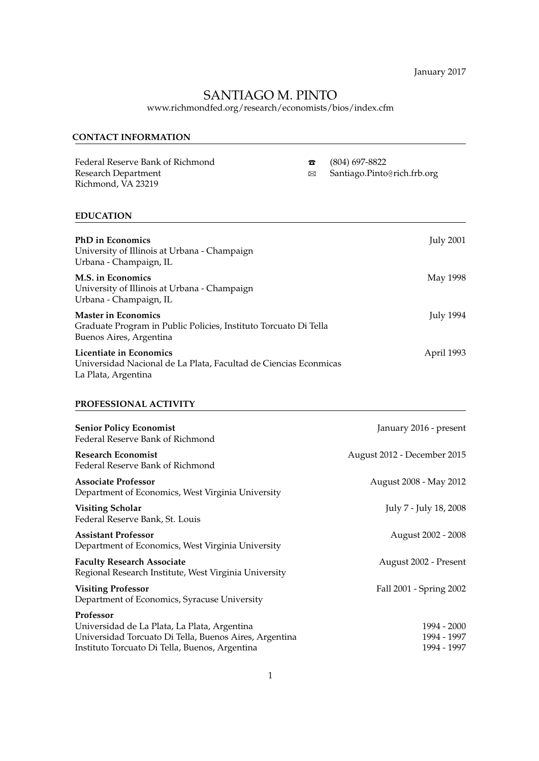January 2017

# SANTIAGO M. PINTO

www.richmondfed.org/research/economists/bios/index.cfm

# **CONTACT INFORMATION**

Federal Reserve Bank of Richmond **T** (804) 697-8822<br>Research Department  $\boxtimes$  Santiago.Pinto Richmond, VA 23219

Santiago.Pinto@rich.frb.org

# **EDUCATION**

| <b>PhD</b> in Economics<br>University of Illinois at Urbana - Champaign<br>Urbana - Champaign, IL                         | <b>July 2001</b> |
|---------------------------------------------------------------------------------------------------------------------------|------------------|
| <b>M.S.</b> in Economics<br>University of Illinois at Urbana - Champaign<br>Urbana - Champaign, IL                        | May 1998         |
| <b>Master in Economics</b><br>Graduate Program in Public Policies, Instituto Torcuato Di Tella<br>Buenos Aires, Argentina | <b>July 1994</b> |
| Licentiate in Economics<br>Universidad Nacional de La Plata, Facultad de Ciencias Econmicas                               | April 1993       |

La Plata, Argentina

# **PROFESSIONAL ACTIVITY**

| <b>Senior Policy Economist</b><br>Federal Reserve Bank of Richmond                                                                                                    | January 2016 - present                    |
|-----------------------------------------------------------------------------------------------------------------------------------------------------------------------|-------------------------------------------|
| <b>Research Economist</b><br>Federal Reserve Bank of Richmond                                                                                                         | August 2012 - December 2015               |
| <b>Associate Professor</b><br>Department of Economics, West Virginia University                                                                                       | August 2008 - May 2012                    |
| <b>Visiting Scholar</b><br>Federal Reserve Bank, St. Louis                                                                                                            | July 7 - July 18, 2008                    |
| <b>Assistant Professor</b><br>Department of Economics, West Virginia University                                                                                       | August 2002 - 2008                        |
| <b>Faculty Research Associate</b><br>Regional Research Institute, West Virginia University                                                                            | August 2002 - Present                     |
| <b>Visiting Professor</b><br>Department of Economics, Syracuse University                                                                                             | Fall 2001 - Spring 2002                   |
| Professor<br>Universidad de La Plata, La Plata, Argentina<br>Universidad Torcuato Di Tella, Buenos Aires, Argentina<br>Instituto Torcuato Di Tella, Buenos, Argentina | 1994 - 2000<br>1994 - 1997<br>1994 - 1997 |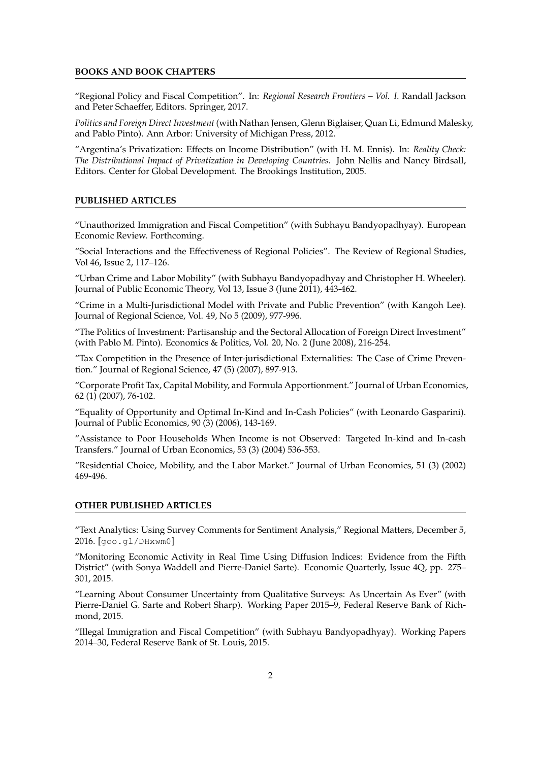#### **BOOKS AND BOOK CHAPTERS**

"Regional Policy and Fiscal Competition". In: *Regional Research Frontiers – Vol. I*. Randall Jackson and Peter Schaeffer, Editors. Springer, 2017.

*Politics and Foreign Direct Investment* (with Nathan Jensen, Glenn Biglaiser, Quan Li, Edmund Malesky, and Pablo Pinto). Ann Arbor: University of Michigan Press, 2012.

"Argentina's Privatization: Effects on Income Distribution" (with H. M. Ennis). In: *Reality Check: The Distributional Impact of Privatization in Developing Countries*. John Nellis and Nancy Birdsall, Editors. Center for Global Development. The Brookings Institution, 2005.

#### **PUBLISHED ARTICLES**

"Unauthorized Immigration and Fiscal Competition" (with Subhayu Bandyopadhyay). European Economic Review. Forthcoming.

"Social Interactions and the Effectiveness of Regional Policies". The Review of Regional Studies, Vol 46, Issue 2, 117–126.

"Urban Crime and Labor Mobility" (with Subhayu Bandyopadhyay and Christopher H. Wheeler). Journal of Public Economic Theory, Vol 13, Issue 3 (June 2011), 443-462.

"Crime in a Multi-Jurisdictional Model with Private and Public Prevention" (with Kangoh Lee). Journal of Regional Science, Vol. 49, No 5 (2009), 977-996.

"The Politics of Investment: Partisanship and the Sectoral Allocation of Foreign Direct Investment" (with Pablo M. Pinto). Economics & Politics, Vol. 20, No. 2 (June 2008), 216-254.

"Tax Competition in the Presence of Inter-jurisdictional Externalities: The Case of Crime Prevention." Journal of Regional Science, 47 (5) (2007), 897-913.

"Corporate Profit Tax, Capital Mobility, and Formula Apportionment." Journal of Urban Economics, 62 (1) (2007), 76-102.

"Equality of Opportunity and Optimal In-Kind and In-Cash Policies" (with Leonardo Gasparini). Journal of Public Economics, 90 (3) (2006), 143-169.

"Assistance to Poor Households When Income is not Observed: Targeted In-kind and In-cash Transfers." Journal of Urban Economics, 53 (3) (2004) 536-553.

"Residential Choice, Mobility, and the Labor Market." Journal of Urban Economics, 51 (3) (2002) 469-496.

## **OTHER PUBLISHED ARTICLES**

"Text Analytics: Using Survey Comments for Sentiment Analysis," Regional Matters, December 5, 2016. [goo.gl/DHxwm0]

"Monitoring Economic Activity in Real Time Using Diffusion Indices: Evidence from the Fifth District" (with Sonya Waddell and Pierre-Daniel Sarte). Economic Quarterly, Issue 4Q, pp. 275– 301, 2015.

"Learning About Consumer Uncertainty from Qualitative Surveys: As Uncertain As Ever" (with Pierre-Daniel G. Sarte and Robert Sharp). Working Paper 2015–9, Federal Reserve Bank of Richmond, 2015.

"Illegal Immigration and Fiscal Competition" (with Subhayu Bandyopadhyay). Working Papers 2014–30, Federal Reserve Bank of St. Louis, 2015.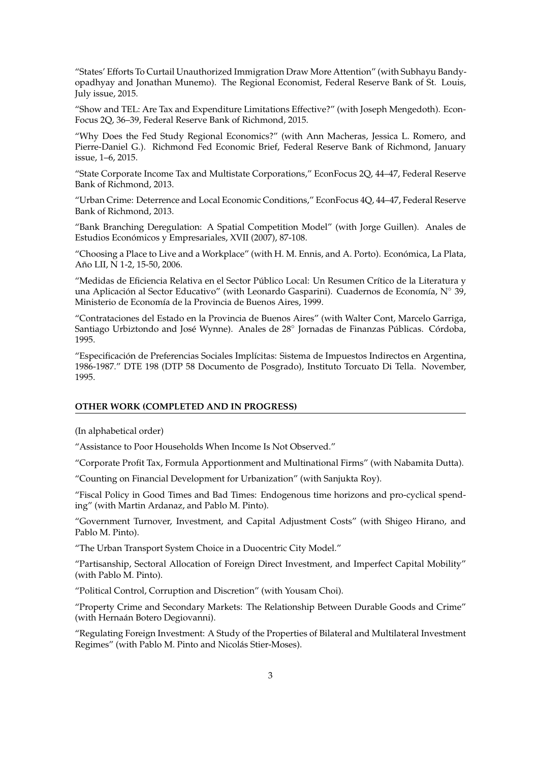"States' Efforts To Curtail Unauthorized Immigration Draw More Attention" (with Subhayu Bandyopadhyay and Jonathan Munemo). The Regional Economist, Federal Reserve Bank of St. Louis, July issue, 2015.

"Show and TEL: Are Tax and Expenditure Limitations Effective?" (with Joseph Mengedoth). Econ-Focus 2Q, 36–39, Federal Reserve Bank of Richmond, 2015.

"Why Does the Fed Study Regional Economics?" (with Ann Macheras, Jessica L. Romero, and Pierre-Daniel G.). Richmond Fed Economic Brief, Federal Reserve Bank of Richmond, January issue, 1–6, 2015.

"State Corporate Income Tax and Multistate Corporations," EconFocus 2Q, 44–47, Federal Reserve Bank of Richmond, 2013.

"Urban Crime: Deterrence and Local Economic Conditions," EconFocus 4Q, 44–47, Federal Reserve Bank of Richmond, 2013.

"Bank Branching Deregulation: A Spatial Competition Model" (with Jorge Guillen). Anales de Estudios Económicos y Empresariales, XVII (2007), 87-108.

"Choosing a Place to Live and a Workplace" (with H. M. Ennis, and A. Porto). Económica, La Plata, Año LII, N 1-2, 15-50, 2006.

"Medidas de Eficiencia Relativa en el Sector Público Local: Un Resumen Crítico de la Literatura y una Aplicación al Sector Educativo" (with Leonardo Gasparini). Cuadernos de Economía, N° 39, Ministerio de Economía de la Provincia de Buenos Aires, 1999.

"Contrataciones del Estado en la Provincia de Buenos Aires" (with Walter Cont, Marcelo Garriga, Santiago Urbiztondo and José Wynne). Anales de 28° Jornadas de Finanzas Públicas. Córdoba, 1995.

"Especificación de Preferencias Sociales Implícitas: Sistema de Impuestos Indirectos en Argentina, 1986-1987." DTE 198 (DTP 58 Documento de Posgrado), Instituto Torcuato Di Tella. November, 1995.

# **OTHER WORK (COMPLETED AND IN PROGRESS)**

(In alphabetical order)

"Assistance to Poor Households When Income Is Not Observed."

"Corporate Profit Tax, Formula Apportionment and Multinational Firms" (with Nabamita Dutta).

"Counting on Financial Development for Urbanization" (with Sanjukta Roy).

"Fiscal Policy in Good Times and Bad Times: Endogenous time horizons and pro-cyclical spending" (with Martin Ardanaz, and Pablo M. Pinto).

"Government Turnover, Investment, and Capital Adjustment Costs" (with Shigeo Hirano, and Pablo M. Pinto).

"The Urban Transport System Choice in a Duocentric City Model."

"Partisanship, Sectoral Allocation of Foreign Direct Investment, and Imperfect Capital Mobility" (with Pablo M. Pinto).

"Political Control, Corruption and Discretion" (with Yousam Choi).

"Property Crime and Secondary Markets: The Relationship Between Durable Goods and Crime" (with Hernaán Botero Degiovanni).

"Regulating Foreign Investment: A Study of the Properties of Bilateral and Multilateral Investment Regimes" (with Pablo M. Pinto and Nicolás Stier-Moses).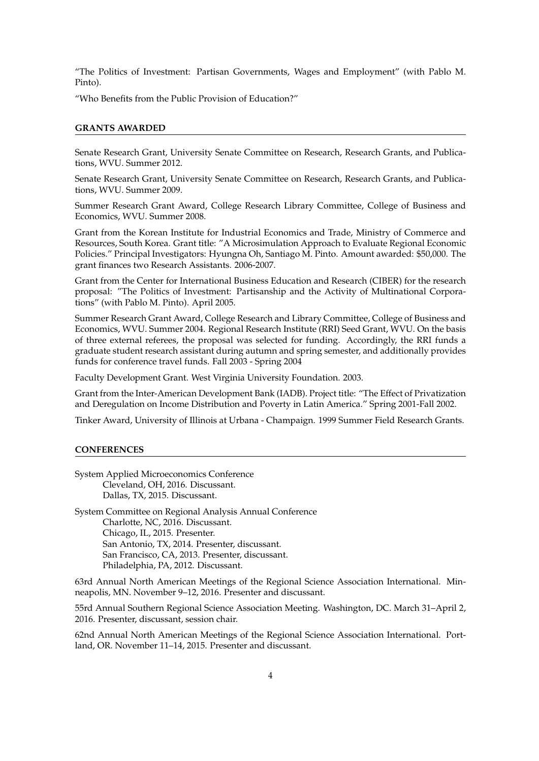"The Politics of Investment: Partisan Governments, Wages and Employment" (with Pablo M. Pinto).

"Who Benefits from the Public Provision of Education?"

#### **GRANTS AWARDED**

Senate Research Grant, University Senate Committee on Research, Research Grants, and Publications, WVU. Summer 2012.

Senate Research Grant, University Senate Committee on Research, Research Grants, and Publications, WVU. Summer 2009.

Summer Research Grant Award, College Research Library Committee, College of Business and Economics, WVU. Summer 2008.

Grant from the Korean Institute for Industrial Economics and Trade, Ministry of Commerce and Resources, South Korea. Grant title: "A Microsimulation Approach to Evaluate Regional Economic Policies." Principal Investigators: Hyungna Oh, Santiago M. Pinto. Amount awarded: \$50,000. The grant finances two Research Assistants. 2006-2007.

Grant from the Center for International Business Education and Research (CIBER) for the research proposal: "The Politics of Investment: Partisanship and the Activity of Multinational Corporations" (with Pablo M. Pinto). April 2005.

Summer Research Grant Award, College Research and Library Committee, College of Business and Economics, WVU. Summer 2004. Regional Research Institute (RRI) Seed Grant, WVU. On the basis of three external referees, the proposal was selected for funding. Accordingly, the RRI funds a graduate student research assistant during autumn and spring semester, and additionally provides funds for conference travel funds. Fall 2003 - Spring 2004

Faculty Development Grant. West Virginia University Foundation. 2003.

Grant from the Inter-American Development Bank (IADB). Project title: "The Effect of Privatization and Deregulation on Income Distribution and Poverty in Latin America." Spring 2001-Fall 2002.

Tinker Award, University of Illinois at Urbana - Champaign. 1999 Summer Field Research Grants.

#### **CONFERENCES**

System Applied Microeconomics Conference Cleveland, OH, 2016. Discussant. Dallas, TX, 2015. Discussant.

System Committee on Regional Analysis Annual Conference Charlotte, NC, 2016. Discussant. Chicago, IL, 2015. Presenter. San Antonio, TX, 2014. Presenter, discussant. San Francisco, CA, 2013. Presenter, discussant. Philadelphia, PA, 2012. Discussant.

63rd Annual North American Meetings of the Regional Science Association International. Minneapolis, MN. November 9–12, 2016. Presenter and discussant.

55rd Annual Southern Regional Science Association Meeting. Washington, DC. March 31–April 2, 2016. Presenter, discussant, session chair.

62nd Annual North American Meetings of the Regional Science Association International. Portland, OR. November 11–14, 2015. Presenter and discussant.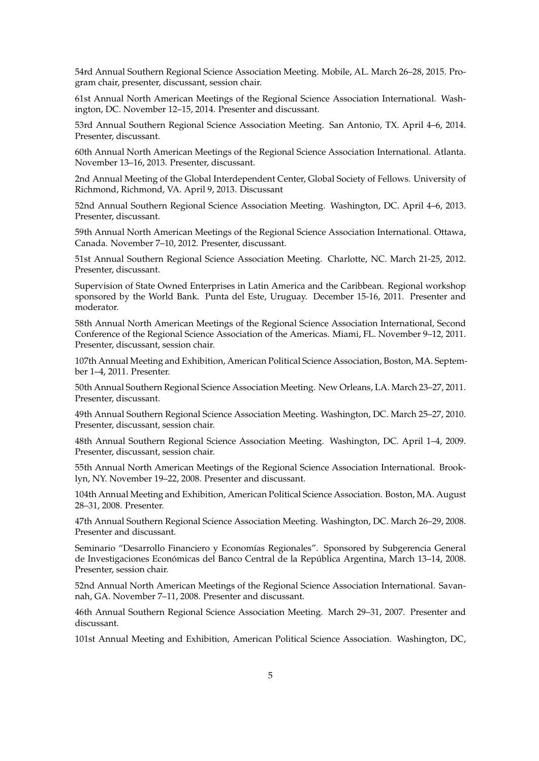54rd Annual Southern Regional Science Association Meeting. Mobile, AL. March 26–28, 2015. Program chair, presenter, discussant, session chair.

61st Annual North American Meetings of the Regional Science Association International. Washington, DC. November 12–15, 2014. Presenter and discussant.

53rd Annual Southern Regional Science Association Meeting. San Antonio, TX. April 4–6, 2014. Presenter, discussant.

60th Annual North American Meetings of the Regional Science Association International. Atlanta. November 13–16, 2013. Presenter, discussant.

2nd Annual Meeting of the Global Interdependent Center, Global Society of Fellows. University of Richmond, Richmond, VA. April 9, 2013. Discussant

52nd Annual Southern Regional Science Association Meeting. Washington, DC. April 4–6, 2013. Presenter, discussant.

59th Annual North American Meetings of the Regional Science Association International. Ottawa, Canada. November 7–10, 2012. Presenter, discussant.

51st Annual Southern Regional Science Association Meeting. Charlotte, NC. March 21-25, 2012. Presenter, discussant.

Supervision of State Owned Enterprises in Latin America and the Caribbean. Regional workshop sponsored by the World Bank. Punta del Este, Uruguay. December 15-16, 2011. Presenter and moderator.

58th Annual North American Meetings of the Regional Science Association International, Second Conference of the Regional Science Association of the Americas. Miami, FL. November 9–12, 2011. Presenter, discussant, session chair.

107th Annual Meeting and Exhibition, American Political Science Association, Boston, MA. September 1–4, 2011. Presenter.

50th Annual Southern Regional Science Association Meeting. New Orleans, LA. March 23–27, 2011. Presenter, discussant.

49th Annual Southern Regional Science Association Meeting. Washington, DC. March 25–27, 2010. Presenter, discussant, session chair.

48th Annual Southern Regional Science Association Meeting. Washington, DC. April 1–4, 2009. Presenter, discussant, session chair.

55th Annual North American Meetings of the Regional Science Association International. Brooklyn, NY. November 19–22, 2008. Presenter and discussant.

104th Annual Meeting and Exhibition, American Political Science Association. Boston, MA. August 28–31, 2008. Presenter.

47th Annual Southern Regional Science Association Meeting. Washington, DC. March 26–29, 2008. Presenter and discussant.

Seminario "Desarrollo Financiero y Economías Regionales". Sponsored by Subgerencia General de Investigaciones Económicas del Banco Central de la República Argentina, March 13-14, 2008. Presenter, session chair.

52nd Annual North American Meetings of the Regional Science Association International. Savannah, GA. November 7–11, 2008. Presenter and discussant.

46th Annual Southern Regional Science Association Meeting. March 29–31, 2007. Presenter and discussant.

101st Annual Meeting and Exhibition, American Political Science Association. Washington, DC,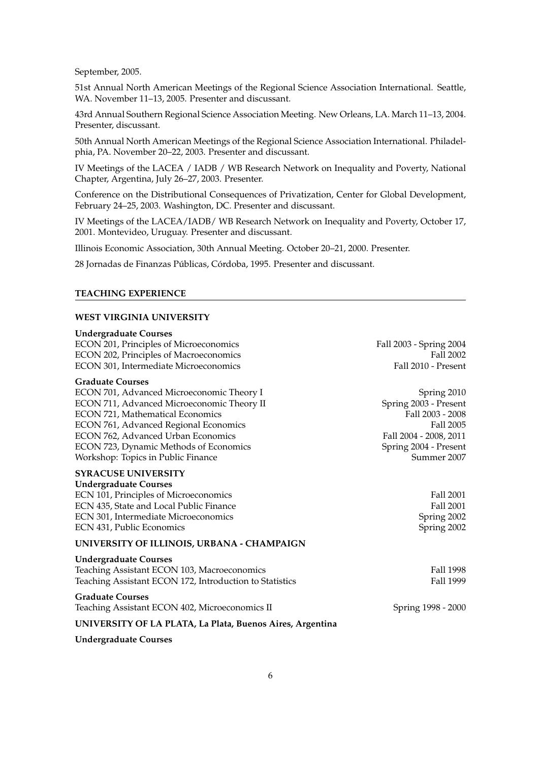September, 2005.

51st Annual North American Meetings of the Regional Science Association International. Seattle, WA. November 11–13, 2005. Presenter and discussant.

43rd Annual Southern Regional Science Association Meeting. New Orleans, LA. March 11–13, 2004. Presenter, discussant.

50th Annual North American Meetings of the Regional Science Association International. Philadelphia, PA. November 20–22, 2003. Presenter and discussant.

IV Meetings of the LACEA / IADB / WB Research Network on Inequality and Poverty, National Chapter, Argentina, July 26–27, 2003. Presenter.

Conference on the Distributional Consequences of Privatization, Center for Global Development, February 24–25, 2003. Washington, DC. Presenter and discussant.

IV Meetings of the LACEA/IADB/ WB Research Network on Inequality and Poverty, October 17, 2001. Montevideo, Uruguay. Presenter and discussant.

Illinois Economic Association, 30th Annual Meeting. October 20–21, 2000. Presenter.

28 Jornadas de Finanzas Públicas, Córdoba, 1995. Presenter and discussant.

## **TEACHING EXPERIENCE**

#### **WEST VIRGINIA UNIVERSITY**

| <b>Undergraduate Courses</b>                              |                         |
|-----------------------------------------------------------|-------------------------|
| ECON 201, Principles of Microeconomics                    | Fall 2003 - Spring 2004 |
| ECON 202, Principles of Macroeconomics                    | Fall 2002               |
| ECON 301, Intermediate Microeconomics                     | Fall 2010 - Present     |
| <b>Graduate Courses</b>                                   |                         |
| ECON 701, Advanced Microeconomic Theory I                 | Spring 2010             |
| ECON 711, Advanced Microeconomic Theory II                | Spring 2003 - Present   |
| <b>ECON 721, Mathematical Economics</b>                   | Fall 2003 - 2008        |
| ECON 761, Advanced Regional Economics                     | Fall 2005               |
| ECON 762, Advanced Urban Economics                        | Fall 2004 - 2008, 2011  |
| ECON 723, Dynamic Methods of Economics                    | Spring 2004 - Present   |
| Workshop: Topics in Public Finance                        | Summer 2007             |
| <b>SYRACUSE UNIVERSITY</b>                                |                         |
| <b>Undergraduate Courses</b>                              |                         |
| ECN 101, Principles of Microeconomics                     | Fall 2001               |
| ECN 435, State and Local Public Finance                   | Fall 2001               |
| ECN 301, Intermediate Microeconomics                      | Spring 2002             |
| ECN 431, Public Economics                                 | Spring 2002             |
| UNIVERSITY OF ILLINOIS, URBANA - CHAMPAIGN                |                         |
| <b>Undergraduate Courses</b>                              |                         |
| Teaching Assistant ECON 103, Macroeconomics               | Fall 1998               |
| Teaching Assistant ECON 172, Introduction to Statistics   | Fall 1999               |
| <b>Graduate Courses</b>                                   |                         |
| Teaching Assistant ECON 402, Microeconomics II            | Spring 1998 - 2000      |
| UNIVERSITY OF LA PLATA, La Plata, Buenos Aires, Argentina |                         |

**Undergraduate Courses**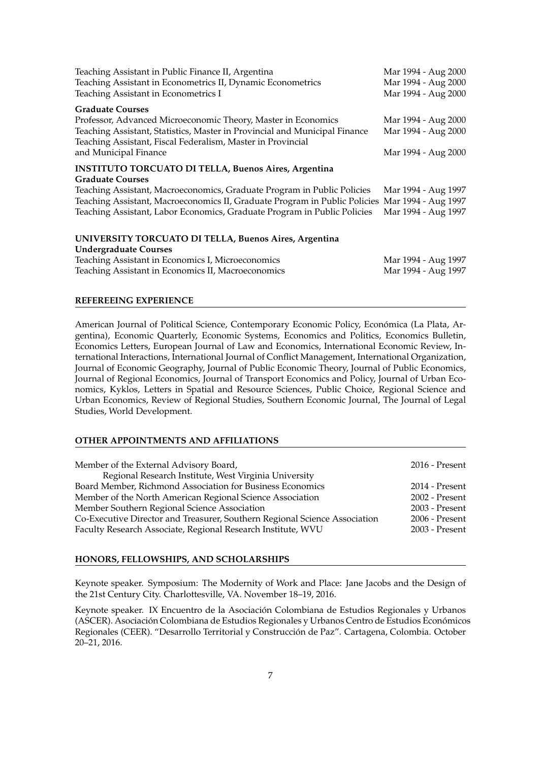| Teaching Assistant in Public Finance II, Argentina                                                                                        | Mar 1994 - Aug 2000 |
|-------------------------------------------------------------------------------------------------------------------------------------------|---------------------|
| Teaching Assistant in Econometrics II, Dynamic Econometrics                                                                               | Mar 1994 - Aug 2000 |
| Teaching Assistant in Econometrics I                                                                                                      | Mar 1994 - Aug 2000 |
| <b>Graduate Courses</b>                                                                                                                   |                     |
| Professor, Advanced Microeconomic Theory, Master in Economics                                                                             | Mar 1994 - Aug 2000 |
| Teaching Assistant, Statistics, Master in Provincial and Municipal Finance<br>Teaching Assistant, Fiscal Federalism, Master in Provincial | Mar 1994 - Aug 2000 |
| and Municipal Finance                                                                                                                     | Mar 1994 - Aug 2000 |
| <b>INSTITUTO TORCUATO DI TELLA, Buenos Aires, Argentina</b>                                                                               |                     |
| <b>Graduate Courses</b>                                                                                                                   |                     |
| Teaching Assistant, Macroeconomics, Graduate Program in Public Policies                                                                   | Mar 1994 - Aug 1997 |
| Teaching Assistant, Macroeconomics II, Graduate Program in Public Policies Mar 1994 - Aug 1997                                            |                     |
| Teaching Assistant, Labor Economics, Graduate Program in Public Policies                                                                  | Mar 1994 - Aug 1997 |
| UNIVERSITY TORCUATO DI TELLA, Buenos Aires, Argentina                                                                                     |                     |
| <b>Undergraduate Courses</b>                                                                                                              |                     |
| Teaching Assistant in Economics I, Microeconomics                                                                                         | Mar 1994 - Aug 1997 |
| Teaching Assistant in Economics II, Macroeconomics                                                                                        | Mar 1994 - Aug 1997 |
|                                                                                                                                           |                     |

#### **REFEREEING EXPERIENCE**

American Journal of Political Science, Contemporary Economic Policy, Económica (La Plata, Argentina), Economic Quarterly, Economic Systems, Economics and Politics, Economics Bulletin, Economics Letters, European Journal of Law and Economics, International Economic Review, International Interactions, International Journal of Conflict Management, International Organization, Journal of Economic Geography, Journal of Public Economic Theory, Journal of Public Economics, Journal of Regional Economics, Journal of Transport Economics and Policy, Journal of Urban Economics, Kyklos, Letters in Spatial and Resource Sciences, Public Choice, Regional Science and Urban Economics, Review of Regional Studies, Southern Economic Journal, The Journal of Legal Studies, World Development.

## **OTHER APPOINTMENTS AND AFFILIATIONS**

| Member of the External Advisory Board,                                     | 2016 - Present   |
|----------------------------------------------------------------------------|------------------|
| Regional Research Institute, West Virginia University                      |                  |
| Board Member, Richmond Association for Business Economics                  | 2014 - Present   |
| Member of the North American Regional Science Association                  | 2002 - Present   |
| Member Southern Regional Science Association                               | 2003 - Present   |
| Co-Executive Director and Treasurer, Southern Regional Science Association | $2006$ - Present |
| Faculty Research Associate, Regional Research Institute, WVU               | 2003 - Present   |

#### **HONORS, FELLOWSHIPS, AND SCHOLARSHIPS**

Keynote speaker. Symposium: The Modernity of Work and Place: Jane Jacobs and the Design of the 21st Century City. Charlottesville, VA. November 18–19, 2016.

Keynote speaker. IX Encuentro de la Asociacion Colombiana de Estudios Regionales y Urbanos ´ (ASCER). Asociación Colombiana de Estudios Regionales y Urbanos Centro de Estudios Económicos Regionales (CEER). "Desarrollo Territorial y Construccion de Paz". Cartagena, Colombia. October ´ 20–21, 2016.